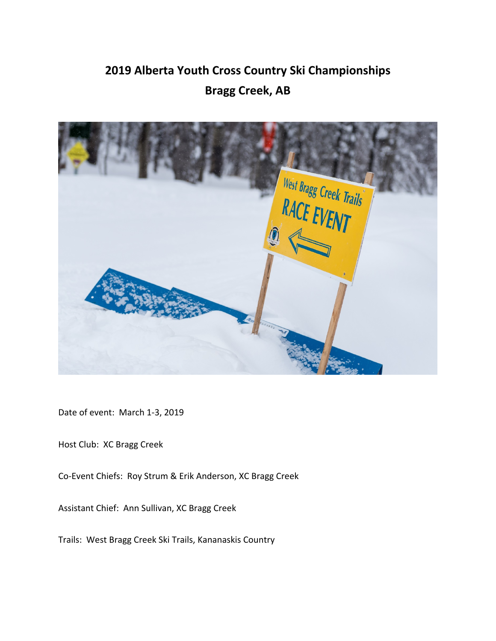# **2019 Alberta Youth Cross Country Ski Championships Bragg Creek, AB**



Date of event: March 1‐3, 2019

Host Club: XC Bragg Creek

Co‐Event Chiefs: Roy Strum & Erik Anderson, XC Bragg Creek

Assistant Chief: Ann Sullivan, XC Bragg Creek

Trails: West Bragg Creek Ski Trails, Kananaskis Country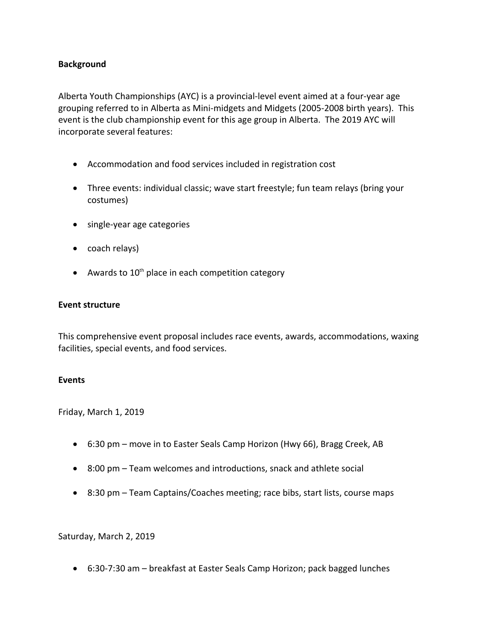#### **Background**

Alberta Youth Championships (AYC) is a provincial‐level event aimed at a four‐year age grouping referred to in Alberta as Mini‐midgets and Midgets (2005‐2008 birth years). This event is the club championship event for this age group in Alberta. The 2019 AYC will incorporate several features:

- Accommodation and food services included in registration cost
- Three events: individual classic; wave start freestyle; fun team relays (bring your costumes)
- single-year age categories
- coach relays)
- $\bullet$  Awards to 10<sup>th</sup> place in each competition category

#### **Event structure**

This comprehensive event proposal includes race events, awards, accommodations, waxing facilities, special events, and food services.

#### **Events**

Friday, March 1, 2019

- 6:30 pm move in to Easter Seals Camp Horizon (Hwy 66), Bragg Creek, AB
- 8:00 pm Team welcomes and introductions, snack and athlete social
- 8:30 pm Team Captains/Coaches meeting; race bibs, start lists, course maps

Saturday, March 2, 2019

● 6:30-7:30 am – breakfast at Easter Seals Camp Horizon; pack bagged lunches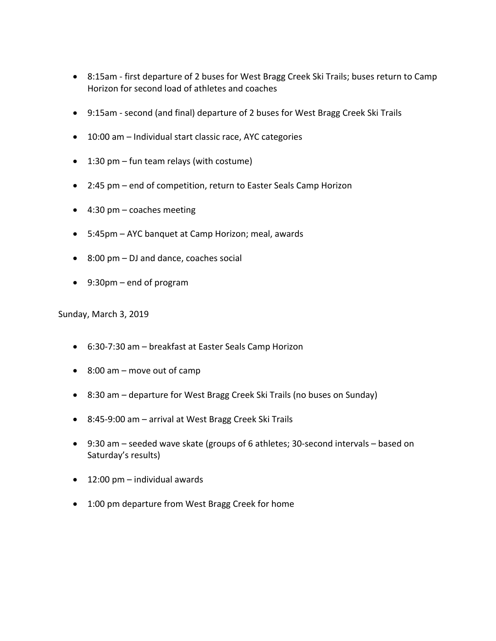- 8:15am first departure of 2 buses for West Bragg Creek Ski Trails; buses return to Camp Horizon for second load of athletes and coaches
- 9:15am second (and final) departure of 2 buses for West Bragg Creek Ski Trails
- 10:00 am Individual start classic race, AYC categories
- $\bullet$  1:30 pm fun team relays (with costume)
- 2:45 pm end of competition, return to Easter Seals Camp Horizon
- 4:30 pm coaches meeting
- 5:45pm AYC banquet at Camp Horizon; meal, awards
- $\bullet$  8:00 pm DJ and dance, coaches social
- 9:30pm end of program

Sunday, March 3, 2019

- 6:30‐7:30 am breakfast at Easter Seals Camp Horizon
- 8:00 am move out of camp
- 8:30 am departure for West Bragg Creek Ski Trails (no buses on Sunday)
- 8:45-9:00 am arrival at West Bragg Creek Ski Trails
- 9:30 am seeded wave skate (groups of 6 athletes; 30‐second intervals based on Saturday's results)
- $\bullet$  12:00 pm individual awards
- 1:00 pm departure from West Bragg Creek for home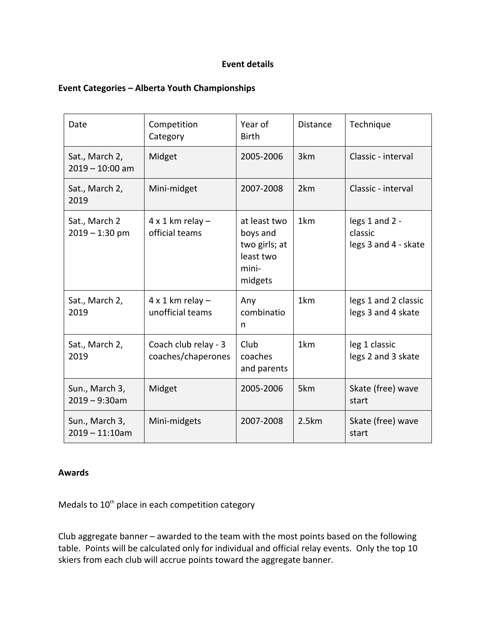## **Event details**

# **Event Categories – Alberta Youth Championships**

| Date                                | Competition<br>Category                       | Year of<br><b>Birth</b>                                                    | Distance        | Technique                                         |  |
|-------------------------------------|-----------------------------------------------|----------------------------------------------------------------------------|-----------------|---------------------------------------------------|--|
| Sat., March 2,<br>$2019 - 10:00$ am | Midget                                        | 2005-2006                                                                  | 3km             | Classic - interval                                |  |
| Sat., March 2,<br>2019              | Mini-midget                                   | 2007-2008                                                                  | 2km             | Classic - interval                                |  |
| Sat., March 2<br>$2019 - 1:30$ pm   | $4 \times 1$ km relay -<br>official teams     | at least two<br>boys and<br>two girls; at<br>least two<br>mini-<br>midgets | 1km             | legs 1 and 2 -<br>classic<br>legs 3 and 4 - skate |  |
| Sat., March 2,<br>2019              | $4 \times 1$ km relay $-$<br>unofficial teams | Any<br>combinatio<br>n                                                     | 1km             | legs 1 and 2 classic<br>legs 3 and 4 skate        |  |
| Sat., March 2,<br>2019              | Coach club relay - 3<br>coaches/chaperones    | Club<br>coaches<br>and parents                                             | 1 <sub>km</sub> | leg 1 classic<br>legs 2 and 3 skate               |  |
| Sun., March 3,<br>$2019 - 9:30$ am  | Midget                                        | 2005-2006                                                                  | 5km             | Skate (free) wave<br>start                        |  |
| Sun., March 3,<br>$2019 - 11:10$ am | Mini-midgets                                  | 2007-2008                                                                  | 2.5km           | Skate (free) wave<br>start                        |  |

### **Awards**

Medals to 10<sup>th</sup> place in each competition category

Club aggregate banner – awarded to the team with the most points based on the following table. Points will be calculated only for individual and official relay events. Only the top 10 skiers from each club will accrue points toward the aggregate banner.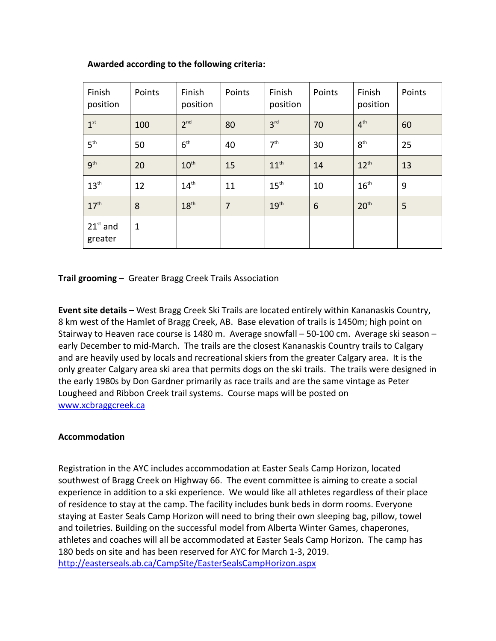| Finish<br>position    | Points      | Finish<br>position | Points         | Finish<br>position | Points          | Finish<br>position | Points |
|-----------------------|-------------|--------------------|----------------|--------------------|-----------------|--------------------|--------|
| 1 <sup>st</sup>       | 100         | 2 <sup>nd</sup>    | 80             | 3 <sup>rd</sup>    | 70              | 4 <sup>th</sup>    | 60     |
| 5 <sup>th</sup>       | 50          | 6 <sup>th</sup>    | 40             | 7 <sup>th</sup>    | 30              | $8^{\text{th}}$    | 25     |
| 9 <sup>th</sup>       | 20          | 10 <sup>th</sup>   | 15             | 11 <sup>th</sup>   | 14              | $12^{th}$          | 13     |
| 13 <sup>th</sup>      | 12          | 14 <sup>th</sup>   | 11             | $15^{\text{th}}$   | 10              | $16^{\text{th}}$   | 9      |
| 17 <sup>th</sup>      | 8           | 18 <sup>th</sup>   | $\overline{7}$ | 19 <sup>th</sup>   | $6\phantom{1}6$ | 20 <sup>th</sup>   | 5      |
| $21st$ and<br>greater | $\mathbf 1$ |                    |                |                    |                 |                    |        |

## **Awarded according to the following criteria:**

**Trail grooming** – Greater Bragg Creek Trails Association

**Event site details** – West Bragg Creek Ski Trails are located entirely within Kananaskis Country, 8 km west of the Hamlet of Bragg Creek, AB. Base elevation of trails is 1450m; high point on Stairway to Heaven race course is 1480 m. Average snowfall – 50‐100 cm. Average ski season – early December to mid‐March. The trails are the closest Kananaskis Country trails to Calgary and are heavily used by locals and recreational skiers from the greater Calgary area. It is the only greater Calgary area ski area that permits dogs on the ski trails. The trails were designed in the early 1980s by Don Gardner primarily as race trails and are the same vintage as Peter Lougheed and Ribbon Creek trail systems. Course maps will be posted on www.xcbraggcreek.ca

### **Accommodation**

Registration in the AYC includes accommodation at Easter Seals Camp Horizon, located southwest of Bragg Creek on Highway 66. The event committee is aiming to create a social experience in addition to a ski experience. We would like all athletes regardless of their place of residence to stay at the camp. The facility includes bunk beds in dorm rooms. Everyone staying at Easter Seals Camp Horizon will need to bring their own sleeping bag, pillow, towel and toiletries. Building on the successful model from Alberta Winter Games, chaperones, athletes and coaches will all be accommodated at Easter Seals Camp Horizon. The camp has 180 beds on site and has been reserved for AYC for March 1‐3, 2019. http://easterseals.ab.ca/CampSite/EasterSealsCampHorizon.aspx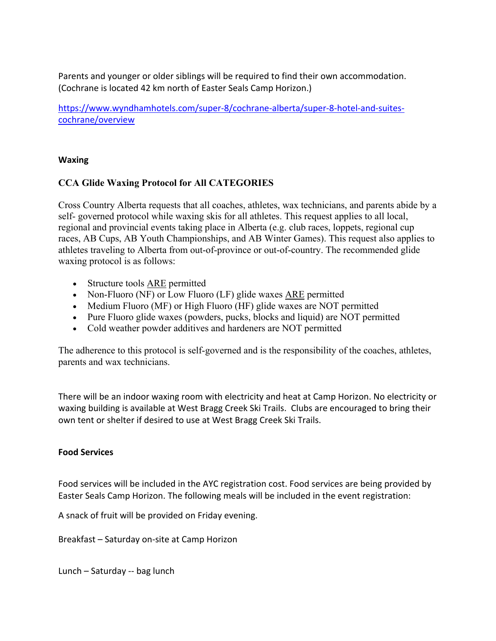Parents and younger or older siblings will be required to find their own accommodation. (Cochrane is located 42 km north of Easter Seals Camp Horizon.)

https://www.wyndhamhotels.com/super‐8/cochrane‐alberta/super‐8‐hotel‐and‐suites‐ cochrane/overview

### **Waxing**

# **CCA Glide Waxing Protocol for All CATEGORIES**

Cross Country Alberta requests that all coaches, athletes, wax technicians, and parents abide by a self- governed protocol while waxing skis for all athletes. This request applies to all local, regional and provincial events taking place in Alberta (e.g. club races, loppets, regional cup races, AB Cups, AB Youth Championships, and AB Winter Games). This request also applies to athletes traveling to Alberta from out-of-province or out-of-country. The recommended glide waxing protocol is as follows:

- Structure tools ARE permitted
- Non-Fluoro (NF) or Low Fluoro (LF) glide waxes ARE permitted
- Medium Fluoro (MF) or High Fluoro (HF) glide waxes are NOT permitted
- Pure Fluoro glide waxes (powders, pucks, blocks and liquid) are NOT permitted
- Cold weather powder additives and hardeners are NOT permitted

The adherence to this protocol is self-governed and is the responsibility of the coaches, athletes, parents and wax technicians.

There will be an indoor waxing room with electricity and heat at Camp Horizon. No electricity or waxing building is available at West Bragg Creek Ski Trails. Clubs are encouraged to bring their own tent or shelter if desired to use at West Bragg Creek Ski Trails.

### **Food Services**

Food services will be included in the AYC registration cost. Food services are being provided by Easter Seals Camp Horizon. The following meals will be included in the event registration:

A snack of fruit will be provided on Friday evening.

Breakfast – Saturday on‐site at Camp Horizon

Lunch – Saturday ‐‐ bag lunch